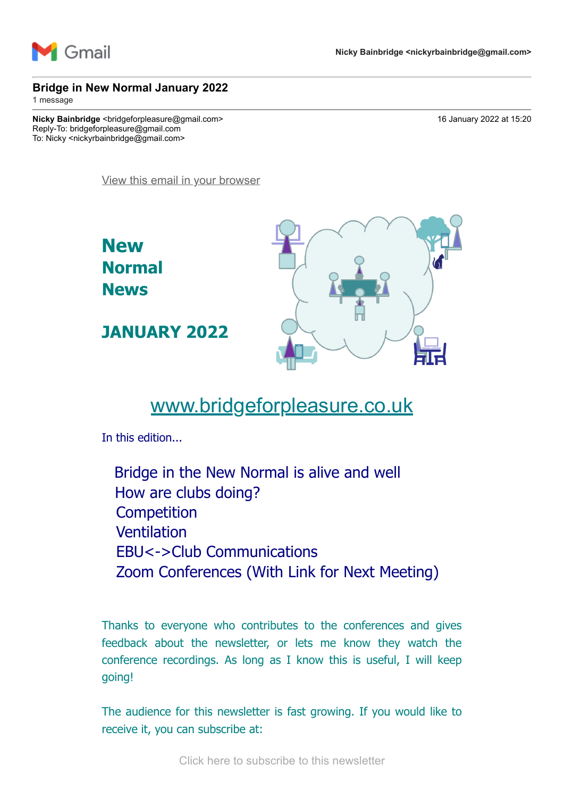

#### **Bridge in New Normal January 2022**

1 message

**Nicky Bainbridge** <bridgeforpleasure@gmail.com> 16 January 2022 at 15:20 Reply-To: bridgeforpleasure@gmail.com To: Nicky <nickyrbainbridge@gmail.com>

[View this email in your browser](https://mailchi.mp/1ff4b3a0c565/bridge-in-new-normal-january-2022?e=7736085cbd)



# [www.bridgeforpleasure.co.uk](https://rugbyvillagebridge.us16.list-manage.com/track/click?u=5ca90c1560213b9616359b892&id=9a7e930f6b&e=7736085cbd)

In this edition...

Bridge in the New Normal is alive and well How are clubs doing? **Competition** Ventilation EBU<->Club Communications Zoom Conferences (With Link for Next Meeting)

Thanks to everyone who contributes to the conferences and gives feedback about the newsletter, or lets me know they watch the conference recordings. As long as I know this is useful, I will keep going!

The audience for this newsletter is fast growing. If you would like to receive it, you can subscribe at: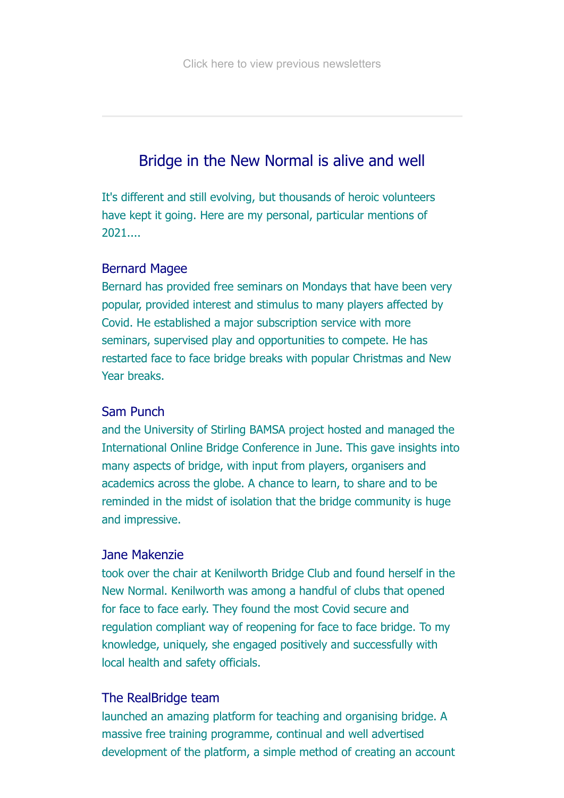# Bridge in the New Normal is alive and well

It's different and still evolving, but thousands of heroic volunteers have kept it going. Here are my personal, particular mentions of 2021....

### Bernard Magee

Bernard has provided free seminars on Mondays that have been very popular, provided interest and stimulus to many players affected by Covid. He established a major subscription service with more seminars, supervised play and opportunities to compete. He has restarted face to face bridge breaks with popular Christmas and New Year breaks.

### Sam Punch

and the University of Stirling BAMSA project hosted and managed the International Online Bridge Conference in June. This gave insights into many aspects of bridge, with input from players, organisers and academics across the globe. A chance to learn, to share and to be reminded in the midst of isolation that the bridge community is huge and impressive.

#### Jane Makenzie

took over the chair at Kenilworth Bridge Club and found herself in the New Normal. Kenilworth was among a handful of clubs that opened for face to face early. They found the most Covid secure and regulation compliant way of reopening for face to face bridge. To my knowledge, uniquely, she engaged positively and successfully with local health and safety officials.

### The RealBridge team

launched an amazing platform for teaching and organising bridge. A massive free training programme, continual and well advertised development of the platform, a simple method of creating an account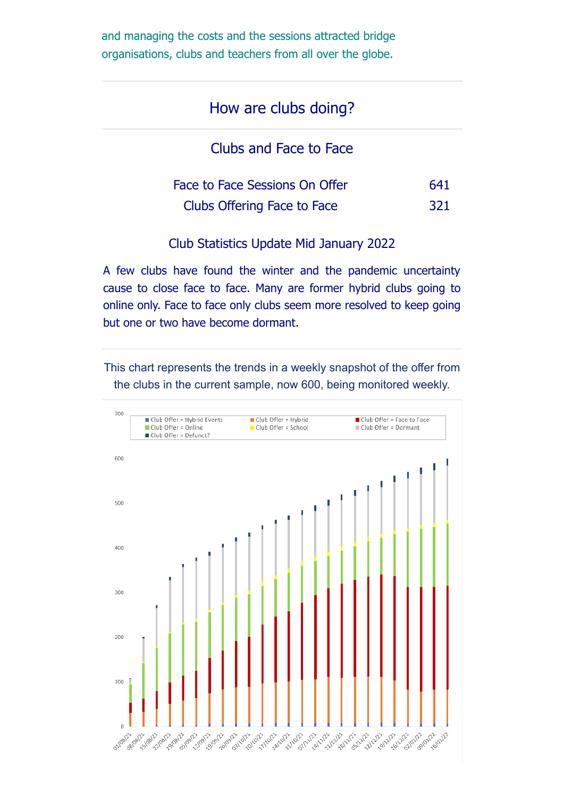and managing the costs and the sessions attracted bridge organisations, clubs and teachers from all over the globe.

## How are clubs doing?

Clubs and Face to Face

| Face to Face Sessions On Offer | 641        |
|--------------------------------|------------|
| Clubs Offering Face to Face    | <b>321</b> |

Club Statistics Update Mid January 2022

A few clubs have found the winter and the pandemic uncertainty cause to close face to face. Many are former hybrid clubs going to online only. Face to face only clubs seem more resolved to keep going but one or two have become dormant.

This chart represents the trends in a weekly snapshot of the offer from the clubs in the current sample, now 600, being monitored weekly.

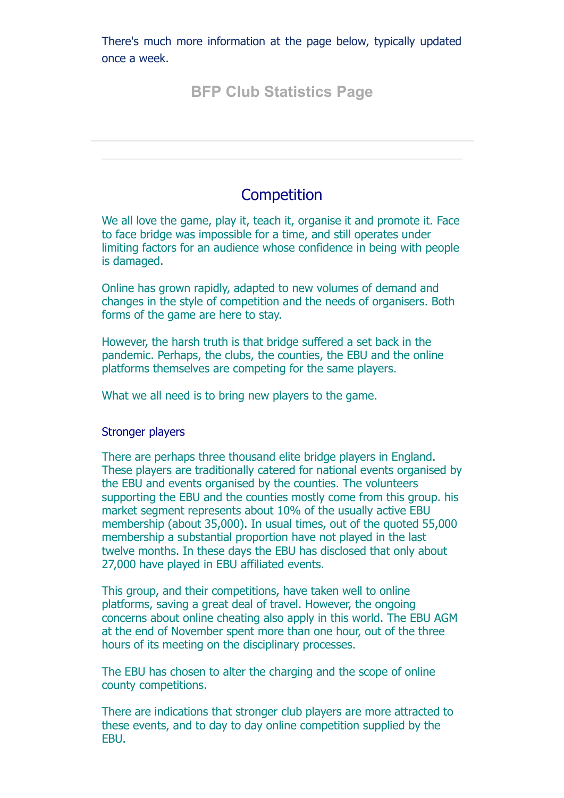There's much more information at the page below, typically updated once a week.

# **[BFP Club Statistics Page](https://rugbyvillagebridge.us16.list-manage.com/track/click?u=5ca90c1560213b9616359b892&id=a22824e09f&e=7736085cbd)**

## **Competition**

We all love the game, play it, teach it, organise it and promote it. Face to face bridge was impossible for a time, and still operates under limiting factors for an audience whose confidence in being with people is damaged.

Online has grown rapidly, adapted to new volumes of demand and changes in the style of competition and the needs of organisers. Both forms of the game are here to stay.

However, the harsh truth is that bridge suffered a set back in the pandemic. Perhaps, the clubs, the counties, the EBU and the online platforms themselves are competing for the same players.

What we all need is to bring new players to the game.

#### Stronger players

There are perhaps three thousand elite bridge players in England. These players are traditionally catered for national events organised by the EBU and events organised by the counties. The volunteers supporting the EBU and the counties mostly come from this group. his market segment represents about 10% of the usually active EBU membership (about 35,000). In usual times, out of the quoted 55,000 membership a substantial proportion have not played in the last twelve months. In these days the EBU has disclosed that only about 27,000 have played in EBU affiliated events.

This group, and their competitions, have taken well to online platforms, saving a great deal of travel. However, the ongoing concerns about online cheating also apply in this world. The EBU AGM at the end of November spent more than one hour, out of the three hours of its meeting on the disciplinary processes.

The EBU has chosen to alter the charging and the scope of online county competitions.

There are indications that stronger club players are more attracted to these events, and to day to day online competition supplied by the EBU.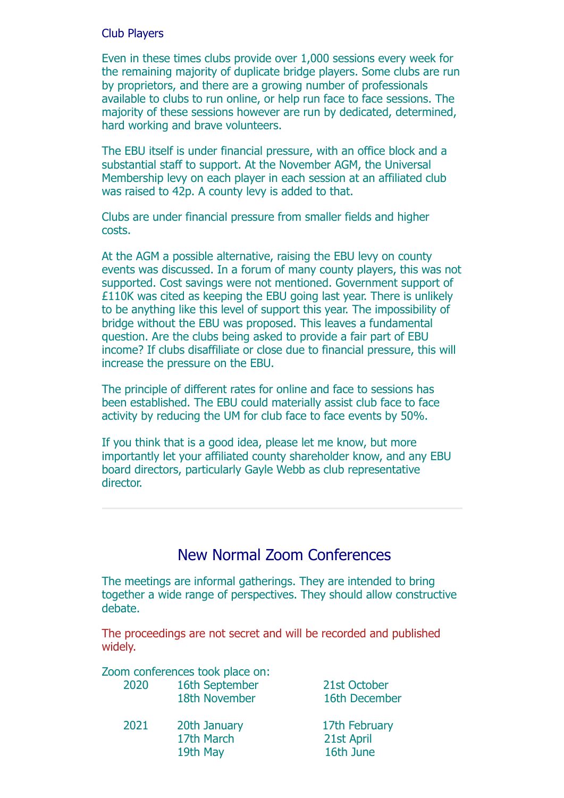### Club Players

Even in these times clubs provide over 1,000 sessions every week for the remaining majority of duplicate bridge players. Some clubs are run by proprietors, and there are a growing number of professionals available to clubs to run online, or help run face to face sessions. The majority of these sessions however are run by dedicated, determined, hard working and brave volunteers.

The EBU itself is under financial pressure, with an office block and a substantial staff to support. At the November AGM, the Universal Membership levy on each player in each session at an affiliated club was raised to 42p. A county levy is added to that.

Clubs are under financial pressure from smaller fields and higher costs.

At the AGM a possible alternative, raising the EBU levy on county events was discussed. In a forum of many county players, this was not supported. Cost savings were not mentioned. Government support of £110K was cited as keeping the EBU going last year. There is unlikely to be anything like this level of support this year. The impossibility of bridge without the EBU was proposed. This leaves a fundamental question. Are the clubs being asked to provide a fair part of EBU income? If clubs disaffiliate or close due to financial pressure, this will increase the pressure on the EBU.

The principle of different rates for online and face to sessions has been established. The EBU could materially assist club face to face activity by reducing the UM for club face to face events by 50%.

If you think that is a good idea, please let me know, but more importantly let your affiliated county shareholder know, and any EBU board directors, particularly Gayle Webb as club representative director.

## New Normal Zoom Conferences

The meetings are informal gatherings. They are intended to bring together a wide range of perspectives. They should allow constructive debate.

The proceedings are not secret and will be recorded and published widely.

|      | Zoom conferences took place on: |               |
|------|---------------------------------|---------------|
| 2020 | 16th September                  | 21st October  |
|      | 18th November                   | 16th December |
| 2021 | 20th January                    | 17th February |
|      | 17th March                      | 21st April    |
|      | 19th May                        | 16th June     |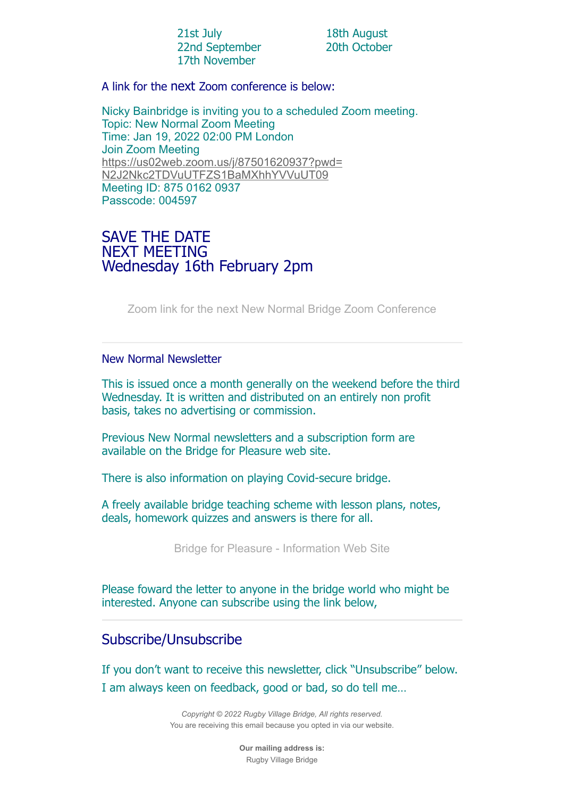| 21st July |                |
|-----------|----------------|
|           | 22nd September |
|           | 17th November  |

18th August 20th October

A link for the next Zoom conference is below:

Nicky Bainbridge is inviting you to a scheduled Zoom meeting. Topic: New Normal Zoom Meeting Time: Jan 19, 2022 02:00 PM London Join Zoom Meeting [https://us02web.zoom.us/j/87501620937?pwd=](https://rugbyvillagebridge.us16.list-manage.com/track/click?u=5ca90c1560213b9616359b892&id=2eb9699cc4&e=7736085cbd) N2J2Nkc2TDVuUTFZS1BaMXhhYVVuUT09 Meeting ID: 875 0162 0937 Passcode: 004597

### SAVE THE DATE NEXT MEETING Wednesday 16th February 2pm

[Zoom link for the next New Normal Bridge Zoom Conference](https://rugbyvillagebridge.us16.list-manage.com/track/click?u=5ca90c1560213b9616359b892&id=6042c1d998&e=7736085cbd)

#### New Normal Newsletter

This is issued once a month generally on the weekend before the third Wednesday. It is written and distributed on an entirely non profit basis, takes no advertising or commission.

Previous New Normal newsletters and a subscription form are available on the Bridge for Pleasure web site.

There is also information on playing Covid-secure bridge.

A freely available bridge teaching scheme with lesson plans, notes, deals, homework quizzes and answers is there for all.

[Bridge for Pleasure - Information Web Site](https://rugbyvillagebridge.us16.list-manage.com/track/click?u=5ca90c1560213b9616359b892&id=65bcd4acf0&e=7736085cbd)

Please foward the letter to anyone in the bridge world who might be interested. Anyone can subscribe using the link below,

### Subscribe/Unsubscribe

If you don't want to receive this newsletter, click "Unsubscribe" below. I am always keen on feedback, good or bad, so do tell me…

> *Copyright © 2022 Rugby Village Bridge, All rights reserved.* You are receiving this email because you opted in via our website.

> > **Our mailing address is:** Rugby Village Bridge